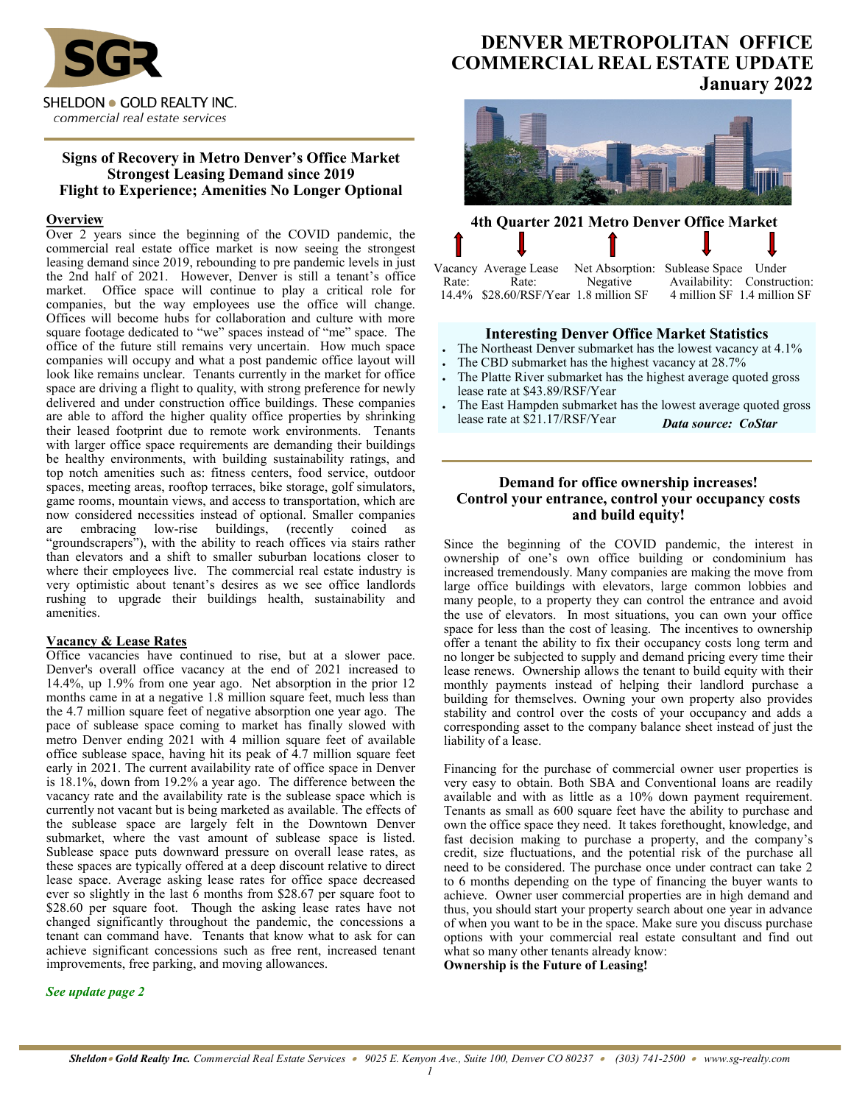

# **Signs of Recovery in Metro Denver's Office Market Strongest Leasing Demand since 2019 Flight to Experience; Amenities No Longer Optional**

# **Overview**

Over 2 years since the beginning of the COVID pandemic, the commercial real estate office market is now seeing the strongest leasing demand since 2019, rebounding to pre pandemic levels in just the 2nd half of 2021. However, Denver is still a tenant's office market. Office space will continue to play a critical role for companies, but the way employees use the office will change. Offices will become hubs for collaboration and culture with more square footage dedicated to "we" spaces instead of "me" space. The office of the future still remains very uncertain. How much space companies will occupy and what a post pandemic office layout will look like remains unclear. Tenants currently in the market for office space are driving a flight to quality, with strong preference for newly delivered and under construction office buildings. These companies are able to afford the higher quality office properties by shrinking their leased footprint due to remote work environments. Tenants with larger office space requirements are demanding their buildings be healthy environments, with building sustainability ratings, and top notch amenities such as: fitness centers, food service, outdoor spaces, meeting areas, rooftop terraces, bike storage, golf simulators, game rooms, mountain views, and access to transportation, which are now considered necessities instead of optional. Smaller companies are embracing low-rise buildings, (recently coined as "groundscrapers"), with the ability to reach offices via stairs rather than elevators and a shift to smaller suburban locations closer to where their employees live. The commercial real estate industry is very optimistic about tenant's desires as we see office landlords rushing to upgrade their buildings health, sustainability and amenities.

# **Vacancy & Lease Rates**

Office vacancies have continued to rise, but at a slower pace. Denver's overall office vacancy at the end of 2021 increased to 14.4%, up 1.9% from one year ago. Net absorption in the prior 12 months came in at a negative 1.8 million square feet, much less than the 4.7 million square feet of negative absorption one year ago. The pace of sublease space coming to market has finally slowed with metro Denver ending 2021 with 4 million square feet of available office sublease space, having hit its peak of 4.7 million square feet early in 2021. The current availability rate of office space in Denver is 18.1%, down from 19.2% a year ago. The difference between the vacancy rate and the availability rate is the sublease space which is currently not vacant but is being marketed as available. The effects of the sublease space are largely felt in the Downtown Denver submarket, where the vast amount of sublease space is listed. Sublease space puts downward pressure on overall lease rates, as these spaces are typically offered at a deep discount relative to direct lease space. Average asking lease rates for office space decreased ever so slightly in the last 6 months from \$28.67 per square foot to \$28.60 per square foot. Though the asking lease rates have not changed significantly throughout the pandemic, the concessions a tenant can command have. Tenants that know what to ask for can achieve significant concessions such as free rent, increased tenant improvements, free parking, and moving allowances.

# **DENVER METROPOLITAN OFFICE COMMERCIAL REAL ESTATE UPDATE January 2022**



# **4th Quarter 2021 Metro Denver Office Market**

Vacancy Average Lease Net Absorption: Sublease Space Under Availability: Construction:<br>4 million SF 1.4 million SF 14.4% \$28.60/RSF/Year 1.8 million SF

# **Interesting Denver Office Market Statistics**

- The Northeast Denver submarket has the lowest vacancy at 4.1%
- The CBD submarket has the highest vacancy at 28.7%
- The Platte River submarket has the highest average quoted gross lease rate at \$43.89/RSF/Year
- The East Hampden submarket has the lowest average quoted gross lease rate at \$21.17/RSF/Year *Data source: CoStar*

# **Demand for office ownership increases! Control your entrance, control your occupancy costs and build equity!**

Since the beginning of the COVID pandemic, the interest in ownership of one's own office building or condominium has increased tremendously. Many companies are making the move from large office buildings with elevators, large common lobbies and many people, to a property they can control the entrance and avoid the use of elevators. In most situations, you can own your office space for less than the cost of leasing. The incentives to ownership offer a tenant the ability to fix their occupancy costs long term and no longer be subjected to supply and demand pricing every time their lease renews. Ownership allows the tenant to build equity with their monthly payments instead of helping their landlord purchase a building for themselves. Owning your own property also provides stability and control over the costs of your occupancy and adds a corresponding asset to the company balance sheet instead of just the liability of a lease.

Financing for the purchase of commercial owner user properties is very easy to obtain. Both SBA and Conventional loans are readily available and with as little as a 10% down payment requirement. Tenants as small as 600 square feet have the ability to purchase and own the office space they need. It takes forethought, knowledge, and fast decision making to purchase a property, and the company's credit, size fluctuations, and the potential risk of the purchase all need to be considered. The purchase once under contract can take 2 to 6 months depending on the type of financing the buyer wants to achieve. Owner user commercial properties are in high demand and thus, you should start your property search about one year in advance of when you want to be in the space. Make sure you discuss purchase options with your commercial real estate consultant and find out what so many other tenants already know:

**Ownership is the Future of Leasing!**

#### *See update page 2*

*1*